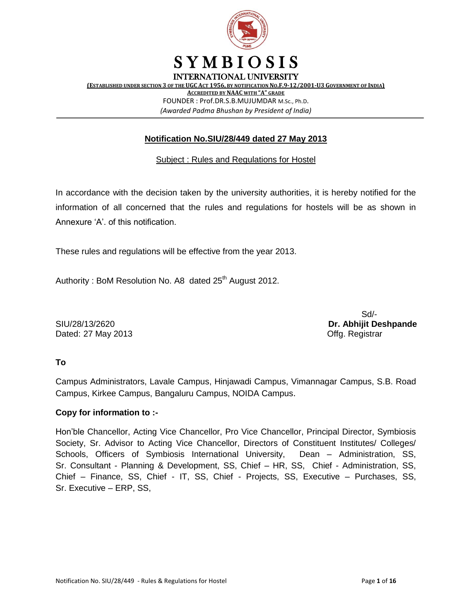

FOUNDER : Prof.DR.S.B.MUJUMDAR M.Sc., Ph.D. *(Awarded Padma Bhushan by President of India)*

#### **Notification No.SIU/28/449 dated 27 May 2013**

#### Subject : Rules and Regulations for Hostel

In accordance with the decision taken by the university authorities, it is hereby notified for the information of all concerned that the rules and regulations for hostels will be as shown in Annexure 'A'. of this notification.

These rules and regulations will be effective from the year 2013.

Authority: BoM Resolution No. A8 dated  $25<sup>th</sup>$  August 2012.

Dated: 27 May 2013 **Dated: 27 May 2013** 

Sd/- SIU/28/13/2620 **Dr. Abhijit Deshpande**

#### **To**

Campus Administrators, Lavale Campus, Hinjawadi Campus, Vimannagar Campus, S.B. Road Campus, Kirkee Campus, Bangaluru Campus, NOIDA Campus.

#### **Copy for information to :-**

Hon'ble Chancellor, Acting Vice Chancellor, Pro Vice Chancellor, Principal Director, Symbiosis Society, Sr. Advisor to Acting Vice Chancellor, Directors of Constituent Institutes/ Colleges/ Schools, Officers of Symbiosis International University, Dean – Administration, SS, Sr. Consultant - Planning & Development, SS, Chief – HR, SS, Chief - Administration, SS, Chief – Finance, SS, Chief - IT, SS, Chief - Projects, SS, Executive – Purchases, SS, Sr. Executive – ERP, SS,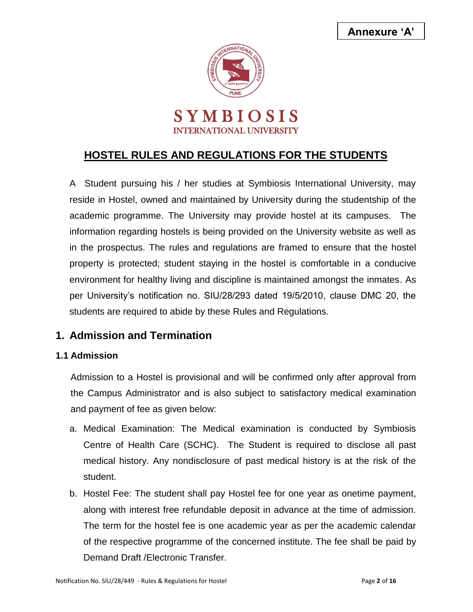**Annexure 'A'**



# **HOSTEL RULES AND REGULATIONS FOR THE STUDENTS**

A Student pursuing his / her studies at Symbiosis International University, may reside in Hostel, owned and maintained by University during the studentship of the academic programme. The University may provide hostel at its campuses. The information regarding hostels is being provided on the University website as well as in the prospectus. The rules and regulations are framed to ensure that the hostel property is protected; student staying in the hostel is comfortable in a conducive environment for healthy living and discipline is maintained amongst the inmates. As per University's notification no. SIU/28/293 dated 19/5/2010, clause DMC 20, the students are required to abide by these Rules and Regulations.

## **1. Admission and Termination**

## **1.1 Admission**

Admission to a Hostel is provisional and will be confirmed only after approval from the Campus Administrator and is also subject to satisfactory medical examination and payment of fee as given below:

- a. Medical Examination: The Medical examination is conducted by Symbiosis Centre of Health Care (SCHC). The Student is required to disclose all past medical history. Any nondisclosure of past medical history is at the risk of the student.
- b. Hostel Fee: The student shall pay Hostel fee for one year as onetime payment, along with interest free refundable deposit in advance at the time of admission. The term for the hostel fee is one academic year as per the academic calendar of the respective programme of the concerned institute. The fee shall be paid by Demand Draft /Electronic Transfer.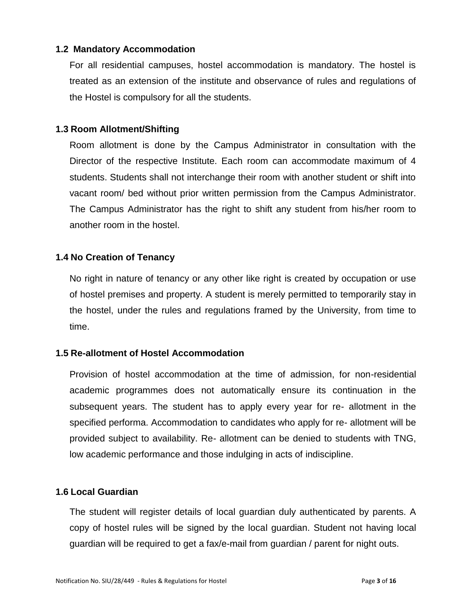#### **1.2 Mandatory Accommodation**

For all residential campuses, hostel accommodation is mandatory. The hostel is treated as an extension of the institute and observance of rules and regulations of the Hostel is compulsory for all the students.

#### **1.3 Room Allotment/Shifting**

Room allotment is done by the Campus Administrator in consultation with the Director of the respective Institute. Each room can accommodate maximum of 4 students. Students shall not interchange their room with another student or shift into vacant room/ bed without prior written permission from the Campus Administrator. The Campus Administrator has the right to shift any student from his/her room to another room in the hostel.

#### **1.4 No Creation of Tenancy**

No right in nature of tenancy or any other like right is created by occupation or use of hostel premises and property. A student is merely permitted to temporarily stay in the hostel, under the rules and regulations framed by the University, from time to time.

#### **1.5 Re-allotment of Hostel Accommodation**

Provision of hostel accommodation at the time of admission, for non-residential academic programmes does not automatically ensure its continuation in the subsequent years. The student has to apply every year for re- allotment in the specified performa. Accommodation to candidates who apply for re- allotment will be provided subject to availability. Re- allotment can be denied to students with TNG, low academic performance and those indulging in acts of indiscipline.

#### **1.6 Local Guardian**

The student will register details of local guardian duly authenticated by parents. A copy of hostel rules will be signed by the local guardian. Student not having local guardian will be required to get a fax/e-mail from guardian / parent for night outs.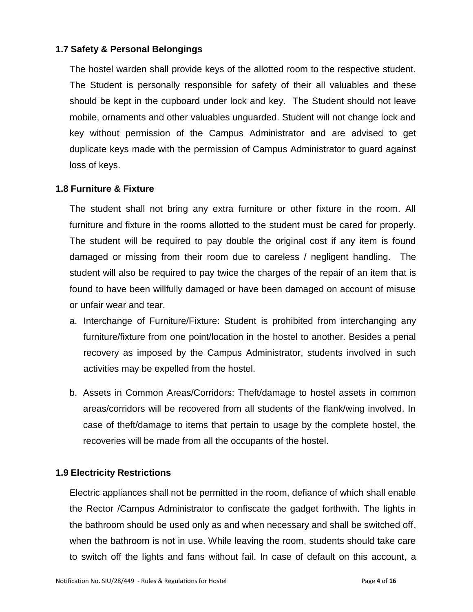#### **1.7 Safety & Personal Belongings**

The hostel warden shall provide keys of the allotted room to the respective student. The Student is personally responsible for safety of their all valuables and these should be kept in the cupboard under lock and key. The Student should not leave mobile, ornaments and other valuables unguarded. Student will not change lock and key without permission of the Campus Administrator and are advised to get duplicate keys made with the permission of Campus Administrator to guard against loss of keys.

#### **1.8 Furniture & Fixture**

The student shall not bring any extra furniture or other fixture in the room. All furniture and fixture in the rooms allotted to the student must be cared for properly. The student will be required to pay double the original cost if any item is found damaged or missing from their room due to careless / negligent handling. The student will also be required to pay twice the charges of the repair of an item that is found to have been willfully damaged or have been damaged on account of misuse or unfair wear and tear.

- a. Interchange of Furniture/Fixture: Student is prohibited from interchanging any furniture/fixture from one point/location in the hostel to another. Besides a penal recovery as imposed by the Campus Administrator, students involved in such activities may be expelled from the hostel.
- b. Assets in Common Areas/Corridors: Theft/damage to hostel assets in common areas/corridors will be recovered from all students of the flank/wing involved. In case of theft/damage to items that pertain to usage by the complete hostel, the recoveries will be made from all the occupants of the hostel.

#### **1.9 Electricity Restrictions**

Electric appliances shall not be permitted in the room, defiance of which shall enable the Rector /Campus Administrator to confiscate the gadget forthwith. The lights in the bathroom should be used only as and when necessary and shall be switched off, when the bathroom is not in use. While leaving the room, students should take care to switch off the lights and fans without fail. In case of default on this account, a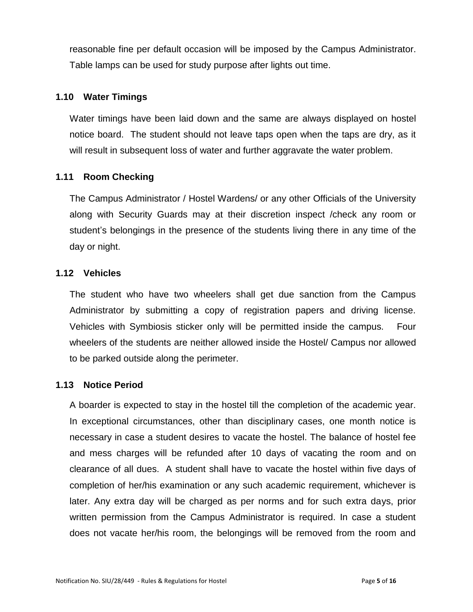reasonable fine per default occasion will be imposed by the Campus Administrator. Table lamps can be used for study purpose after lights out time.

#### **1.10 Water Timings**

Water timings have been laid down and the same are always displayed on hostel notice board. The student should not leave taps open when the taps are dry, as it will result in subsequent loss of water and further aggravate the water problem.

#### **1.11 Room Checking**

The Campus Administrator / Hostel Wardens/ or any other Officials of the University along with Security Guards may at their discretion inspect /check any room or student's belongings in the presence of the students living there in any time of the day or night.

#### **1.12 Vehicles**

The student who have two wheelers shall get due sanction from the Campus Administrator by submitting a copy of registration papers and driving license. Vehicles with Symbiosis sticker only will be permitted inside the campus. Four wheelers of the students are neither allowed inside the Hostel/ Campus nor allowed to be parked outside along the perimeter.

#### **1.13 Notice Period**

A boarder is expected to stay in the hostel till the completion of the academic year. In exceptional circumstances, other than disciplinary cases, one month notice is necessary in case a student desires to vacate the hostel. The balance of hostel fee and mess charges will be refunded after 10 days of vacating the room and on clearance of all dues. A student shall have to vacate the hostel within five days of completion of her/his examination or any such academic requirement, whichever is later. Any extra day will be charged as per norms and for such extra days, prior written permission from the Campus Administrator is required. In case a student does not vacate her/his room, the belongings will be removed from the room and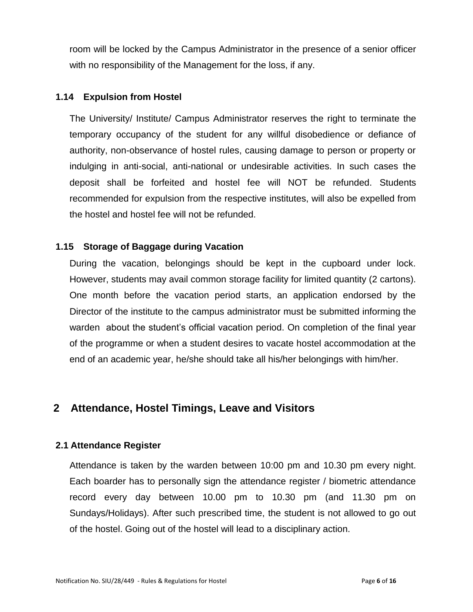room will be locked by the Campus Administrator in the presence of a senior officer with no responsibility of the Management for the loss, if any.

#### **1.14 Expulsion from Hostel**

The University/ Institute/ Campus Administrator reserves the right to terminate the temporary occupancy of the student for any willful disobedience or defiance of authority, non-observance of hostel rules, causing damage to person or property or indulging in anti-social, anti-national or undesirable activities. In such cases the deposit shall be forfeited and hostel fee will NOT be refunded. Students recommended for expulsion from the respective institutes, will also be expelled from the hostel and hostel fee will not be refunded.

### **1.15 Storage of Baggage during Vacation**

During the vacation, belongings should be kept in the cupboard under lock. However, students may avail common storage facility for limited quantity (2 cartons). One month before the vacation period starts, an application endorsed by the Director of the institute to the campus administrator must be submitted informing the warden about the student's official vacation period. On completion of the final year of the programme or when a student desires to vacate hostel accommodation at the end of an academic year, he/she should take all his/her belongings with him/her.

## **2 Attendance, Hostel Timings, Leave and Visitors**

## **2.1 Attendance Register**

Attendance is taken by the warden between 10:00 pm and 10.30 pm every night. Each boarder has to personally sign the attendance register / biometric attendance record every day between 10.00 pm to 10.30 pm (and 11.30 pm on Sundays/Holidays). After such prescribed time, the student is not allowed to go out of the hostel. Going out of the hostel will lead to a disciplinary action.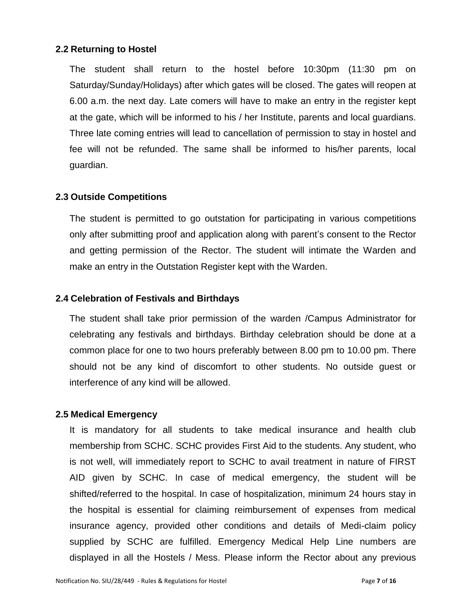#### **2.2 Returning to Hostel**

The student shall return to the hostel before 10:30pm (11:30 pm on Saturday/Sunday/Holidays) after which gates will be closed. The gates will reopen at 6.00 a.m. the next day. Late comers will have to make an entry in the register kept at the gate, which will be informed to his / her Institute, parents and local guardians. Three late coming entries will lead to cancellation of permission to stay in hostel and fee will not be refunded. The same shall be informed to his/her parents, local guardian.

#### **2.3 Outside Competitions**

The student is permitted to go outstation for participating in various competitions only after submitting proof and application along with parent's consent to the Rector and getting permission of the Rector. The student will intimate the Warden and make an entry in the Outstation Register kept with the Warden.

#### **2.4 Celebration of Festivals and Birthdays**

The student shall take prior permission of the warden /Campus Administrator for celebrating any festivals and birthdays. Birthday celebration should be done at a common place for one to two hours preferably between 8.00 pm to 10.00 pm. There should not be any kind of discomfort to other students. No outside guest or interference of any kind will be allowed.

#### **2.5 Medical Emergency**

It is mandatory for all students to take medical insurance and health club membership from SCHC. SCHC provides First Aid to the students. Any student, who is not well, will immediately report to SCHC to avail treatment in nature of FIRST AID given by SCHC. In case of medical emergency, the student will be shifted/referred to the hospital. In case of hospitalization, minimum 24 hours stay in the hospital is essential for claiming reimbursement of expenses from medical insurance agency, provided other conditions and details of Medi-claim policy supplied by SCHC are fulfilled. Emergency Medical Help Line numbers are displayed in all the Hostels / Mess. Please inform the Rector about any previous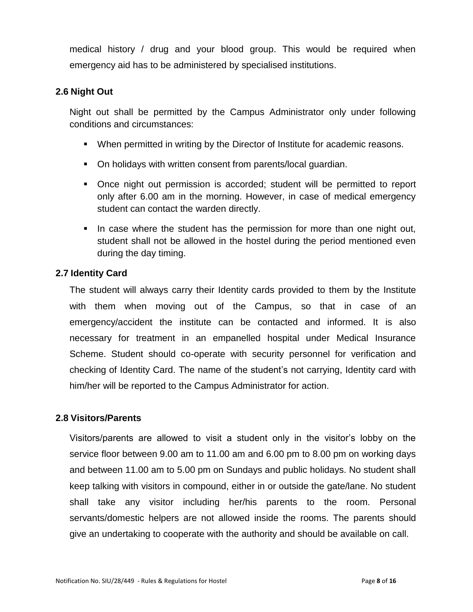medical history / drug and your blood group. This would be required when emergency aid has to be administered by specialised institutions.

#### **2.6 Night Out**

Night out shall be permitted by the Campus Administrator only under following conditions and circumstances:

- **When permitted in writing by the Director of Institute for academic reasons.**
- On holidays with written consent from parents/local guardian.
- Once night out permission is accorded; student will be permitted to report only after 6.00 am in the morning. However, in case of medical emergency student can contact the warden directly.
- In case where the student has the permission for more than one night out, student shall not be allowed in the hostel during the period mentioned even during the day timing.

#### **2.7 Identity Card**

The student will always carry their Identity cards provided to them by the Institute with them when moving out of the Campus, so that in case of an emergency/accident the institute can be contacted and informed. It is also necessary for treatment in an empanelled hospital under Medical Insurance Scheme. Student should co-operate with security personnel for verification and checking of Identity Card. The name of the student's not carrying, Identity card with him/her will be reported to the Campus Administrator for action.

#### **2.8 Visitors/Parents**

Visitors/parents are allowed to visit a student only in the visitor's lobby on the service floor between 9.00 am to 11.00 am and 6.00 pm to 8.00 pm on working days and between 11.00 am to 5.00 pm on Sundays and public holidays. No student shall keep talking with visitors in compound, either in or outside the gate/lane. No student shall take any visitor including her/his parents to the room. Personal servants/domestic helpers are not allowed inside the rooms. The parents should give an undertaking to cooperate with the authority and should be available on call.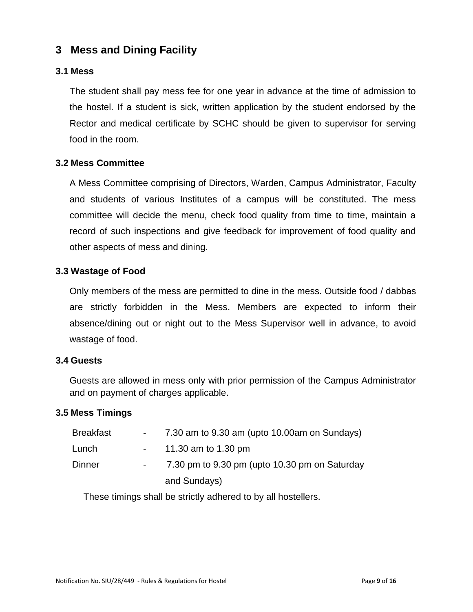## **3 Mess and Dining Facility**

#### **3.1 Mess**

The student shall pay mess fee for one year in advance at the time of admission to the hostel. If a student is sick, written application by the student endorsed by the Rector and medical certificate by SCHC should be given to supervisor for serving food in the room.

#### **3.2 Mess Committee**

A Mess Committee comprising of Directors, Warden, Campus Administrator, Faculty and students of various Institutes of a campus will be constituted. The mess committee will decide the menu, check food quality from time to time, maintain a record of such inspections and give feedback for improvement of food quality and other aspects of mess and dining.

#### **3.3 Wastage of Food**

Only members of the mess are permitted to dine in the mess. Outside food / dabbas are strictly forbidden in the Mess. Members are expected to inform their absence/dining out or night out to the Mess Supervisor well in advance, to avoid wastage of food.

#### **3.4 Guests**

Guests are allowed in mess only with prior permission of the Campus Administrator and on payment of charges applicable.

#### **3.5 Mess Timings**

| <b>Breakfast</b> |                         | 7.30 am to 9.30 am (upto 10.00 am on Sundays) |
|------------------|-------------------------|-----------------------------------------------|
| Lunch            | $\sim 100$ km s $^{-1}$ | 11.30 am to 1.30 pm                           |
| <b>Dinner</b>    |                         | 7.30 pm to 9.30 pm (upto 10.30 pm on Saturday |
|                  |                         | and Sundays)                                  |

These timings shall be strictly adhered to by all hostellers.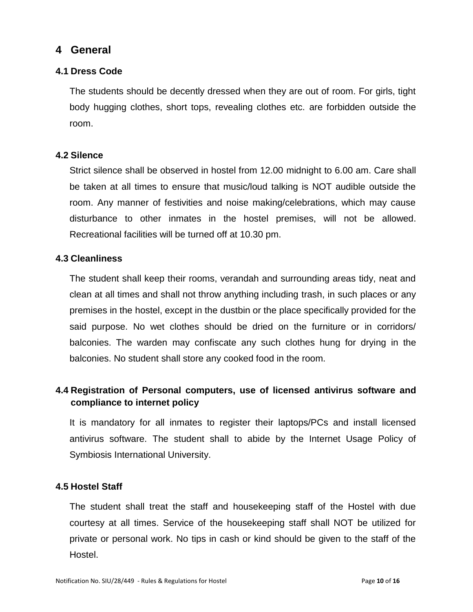## **4 General**

## **4.1 Dress Code**

The students should be decently dressed when they are out of room. For girls, tight body hugging clothes, short tops, revealing clothes etc. are forbidden outside the room.

### **4.2 Silence**

Strict silence shall be observed in hostel from 12.00 midnight to 6.00 am. Care shall be taken at all times to ensure that music/loud talking is NOT audible outside the room. Any manner of festivities and noise making/celebrations, which may cause disturbance to other inmates in the hostel premises, will not be allowed. Recreational facilities will be turned off at 10.30 pm.

#### **4.3 Cleanliness**

The student shall keep their rooms, verandah and surrounding areas tidy, neat and clean at all times and shall not throw anything including trash, in such places or any premises in the hostel, except in the dustbin or the place specifically provided for the said purpose. No wet clothes should be dried on the furniture or in corridors/ balconies. The warden may confiscate any such clothes hung for drying in the balconies. No student shall store any cooked food in the room.

## **4.4 Registration of Personal computers, use of licensed antivirus software and compliance to internet policy**

It is mandatory for all inmates to register their laptops/PCs and install licensed antivirus software. The student shall to abide by the Internet Usage Policy of Symbiosis International University.

#### **4.5 Hostel Staff**

The student shall treat the staff and housekeeping staff of the Hostel with due courtesy at all times. Service of the housekeeping staff shall NOT be utilized for private or personal work. No tips in cash or kind should be given to the staff of the Hostel.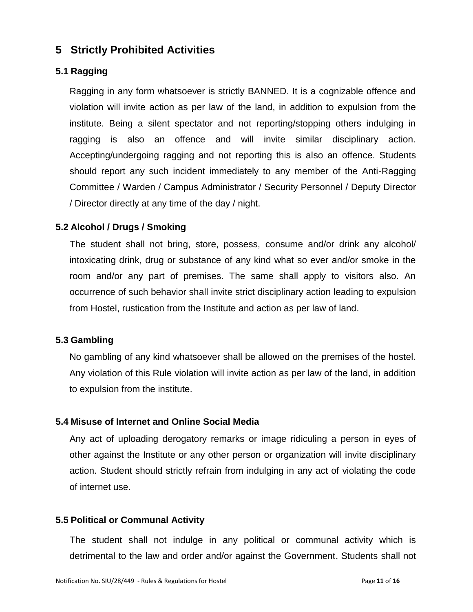## **5 Strictly Prohibited Activities**

## **5.1 Ragging**

Ragging in any form whatsoever is strictly BANNED. It is a cognizable offence and violation will invite action as per law of the land, in addition to expulsion from the institute. Being a silent spectator and not reporting/stopping others indulging in ragging is also an offence and will invite similar disciplinary action. Accepting/undergoing ragging and not reporting this is also an offence. Students should report any such incident immediately to any member of the Anti-Ragging Committee / Warden / Campus Administrator / Security Personnel / Deputy Director / Director directly at any time of the day / night.

### **5.2 Alcohol / Drugs / Smoking**

The student shall not bring, store, possess, consume and/or drink any alcohol/ intoxicating drink, drug or substance of any kind what so ever and/or smoke in the room and/or any part of premises. The same shall apply to visitors also. An occurrence of such behavior shall invite strict disciplinary action leading to expulsion from Hostel, rustication from the Institute and action as per law of land.

#### **5.3 Gambling**

No gambling of any kind whatsoever shall be allowed on the premises of the hostel. Any violation of this Rule violation will invite action as per law of the land, in addition to expulsion from the institute.

## **5.4 Misuse of Internet and Online Social Media**

Any act of uploading derogatory remarks or image ridiculing a person in eyes of other against the Institute or any other person or organization will invite disciplinary action. Student should strictly refrain from indulging in any act of violating the code of internet use.

#### **5.5 Political or Communal Activity**

The student shall not indulge in any political or communal activity which is detrimental to the law and order and/or against the Government. Students shall not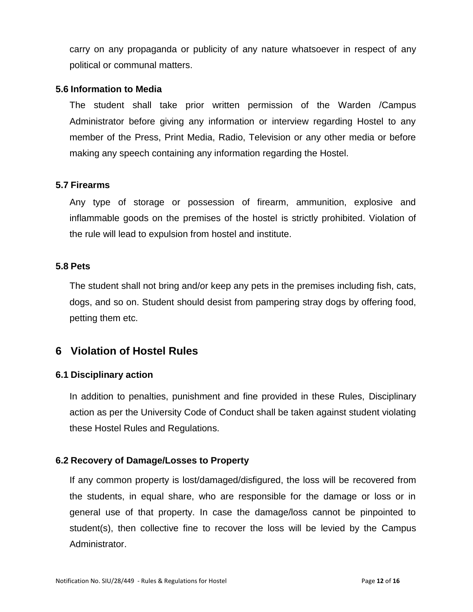carry on any propaganda or publicity of any nature whatsoever in respect of any political or communal matters.

#### **5.6 Information to Media**

The student shall take prior written permission of the Warden /Campus Administrator before giving any information or interview regarding Hostel to any member of the Press, Print Media, Radio, Television or any other media or before making any speech containing any information regarding the Hostel.

#### **5.7 Firearms**

Any type of storage or possession of firearm, ammunition, explosive and inflammable goods on the premises of the hostel is strictly prohibited. Violation of the rule will lead to expulsion from hostel and institute.

#### **5.8 Pets**

The student shall not bring and/or keep any pets in the premises including fish, cats, dogs, and so on. Student should desist from pampering stray dogs by offering food, petting them etc.

## **6 Violation of Hostel Rules**

#### **6.1 Disciplinary action**

In addition to penalties, punishment and fine provided in these Rules, Disciplinary action as per the University Code of Conduct shall be taken against student violating these Hostel Rules and Regulations.

#### **6.2 Recovery of Damage/Losses to Property**

If any common property is lost/damaged/disfigured, the loss will be recovered from the students, in equal share, who are responsible for the damage or loss or in general use of that property. In case the damage/loss cannot be pinpointed to student(s), then collective fine to recover the loss will be levied by the Campus Administrator.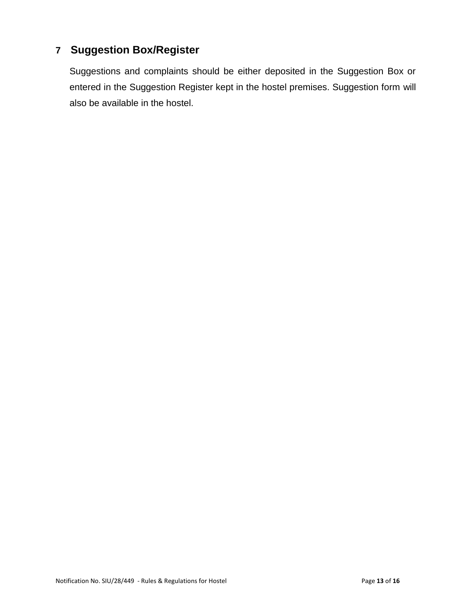# **7 Suggestion Box/Register**

Suggestions and complaints should be either deposited in the Suggestion Box or entered in the Suggestion Register kept in the hostel premises. Suggestion form will also be available in the hostel.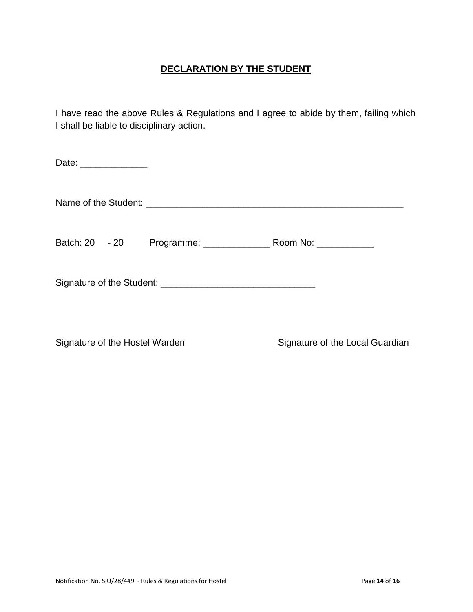## **DECLARATION BY THE STUDENT**

I have read the above Rules & Regulations and I agree to abide by them, failing which I shall be liable to disciplinary action.

| Date: ______________ |  |  |
|----------------------|--|--|
|                      |  |  |
| Batch: 20 - 20       |  |  |
|                      |  |  |
|                      |  |  |

Signature of the Hostel Warden Signature of the Local Guardian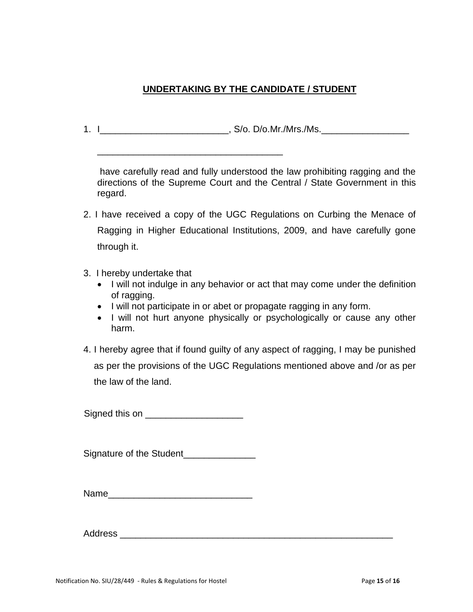## **UNDERTAKING BY THE CANDIDATE / STUDENT**

1. I\_\_\_\_\_\_\_\_\_\_\_\_\_\_\_\_\_\_\_\_\_\_\_\_\_, S/o. D/o.Mr./Mrs./Ms.\_\_\_\_\_\_\_\_\_\_\_\_\_\_\_\_\_

\_\_\_\_\_\_\_\_\_\_\_\_\_\_\_\_\_\_\_\_\_\_\_\_\_\_\_\_\_\_\_\_\_\_\_\_

have carefully read and fully understood the law prohibiting ragging and the directions of the Supreme Court and the Central / State Government in this regard.

- 2. I have received a copy of the UGC Regulations on Curbing the Menace of Ragging in Higher Educational Institutions, 2009, and have carefully gone through it.
- 3. I hereby undertake that
	- I will not indulge in any behavior or act that may come under the definition of ragging.
	- I will not participate in or abet or propagate ragging in any form.
	- I will not hurt anyone physically or psychologically or cause any other harm.
- 4. I hereby agree that if found guilty of any aspect of ragging, I may be punished as per the provisions of the UGC Regulations mentioned above and /or as per the law of the land.

Signed this on **Example 20** 

Signature of the Student\_\_\_\_\_\_\_\_\_\_\_\_\_\_

| Name |  |
|------|--|
|------|--|

Address **and a set of the set of the set of the set of the set of the set of the set of the set of the set of the set of the set of the set of the set of the set of the set of the set of the set of the set of the set of th**